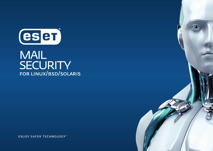

## **MAIL SECURITY** FOR LINUX/BSD/SOLARIS

**ENJOY SAFER TECHNOLOGY**